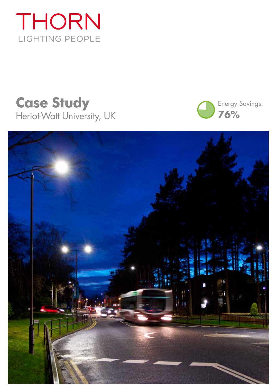





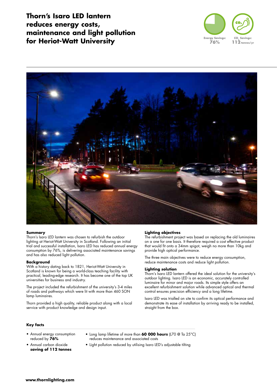**Thorn's Isaro LED lantern reduces energy costs, maintenance and light pollution for Heriot-Watt University**





### **Summary**

Thorn's Isaro LED lantern was chosen to refurbish the outdoor lighting at Heriot-Watt University in Scotland. Following an initial trial and successful installation, Isaro LED has reduced annual energy consumption by 76%, is delivering associated maintenance savings and has also reduced light pollution.

### **Background**

With a history dating back to 1821, Heriot-Watt University in Scotland is known for being a world-class teaching facility with practical, leading-edge research. It has become one of the top UK universities for business and industry.

The project included the refurbishment of the university's 3-4 miles of roads and pathways which were lit with more than 460 SON lamp luminaires.

Thorn provided a high quality, reliable product along with a local service with product knowledge and design input.

#### **Lighting objectives**

The refurbishment project was based on replacing the old luminaires on a one for one basis. It therefore required a cost effective product that would fit onto a 34mm spigot, weigh no more than 10kg and provide high optical performance.

The three main objectives were to reduce energy consumption, reduce maintenance costs and reduce light pollution.

### **Lighting solution**

Thorn's Isaro LED lantern offered the ideal solution for the university's outdoor lighting. Isaro LED is an economic, accurately controlled luminaire for minor and major roads. Its simple style offers an excellent refurbishment solution while advanced optical and thermal control ensures precision efficiency and a long lifetime.

Isaro LED was trialled on site to confirm its optical performance and demonstrate its ease of installation by arriving ready to be installed, straight from the box.

#### **Key facts**

- Annual energy consumption reduced by **76%**
- Annual carbon dioxide **saving of 112 tonnes**
- Long lamp lifetime of more than **60 000 hours** (L70 @ Ta 25°C) reduces maintenance and associated costs
	- Light pollution reduced by utilising Isaro LED's adjustable tilting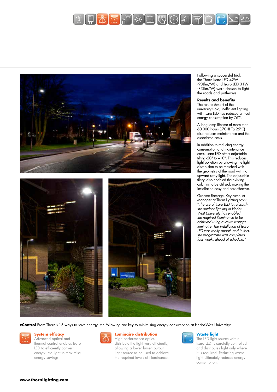







Following a successful trial, the Thorn Isaro LED 42W (93Llm/W) and Isaro LED 31W (83Llm/W) were chosen to light the roads and pathways.

## **Results and benefits**

The refurbishment of the university's old, inefficient lighting with Isaro LED has reduced annual energy consumption by 76%.

A long lamp lifetime of more than 60 000 hours (L70 @ Ta 25°C) also reduces maintenance and the associated costs.

In addition to reducing energy consumption and maintenance costs, Isaro LED offers adjustable tilting -20° to +10°. This reduces light pollution by allowing the light distribution to be matched with the geometry of the road with no upward stray light. The adjustable tilting also enabled the existing columns to be utilised, making the installation easy and cost effective.

Graeme Ramage, Key Account Manager at Thorn Lighting says: "The use of Isaro LED to refurbish the outdoor lighting at Heriot-Watt University has enabled the required illuminance to be achieved using a lower wattage luminaire. The installation of Isaro LED was really smooth and in fact, the programme was completed four weeks ahead of schedule. "

**eControl** From Thorn's 15 ways to save energy, the following are key to minimising energy consumption at Heriot-Watt University:



## **System efficacy**

Advanced optical and thermal control enables Isaro LED to efficiently convert energy into light to maximise energy savings.



## **Luminaire distribution**

High performance optics distribute the light very efficiently, allowing a lower lumen output light source to be used to achieve the required levels of illuminance.



### **Waste light**

The LED light source within Isaro LED is carefully controlled and distributes light only where it is required. Reducing waste light ultimately reduces energy consumption.